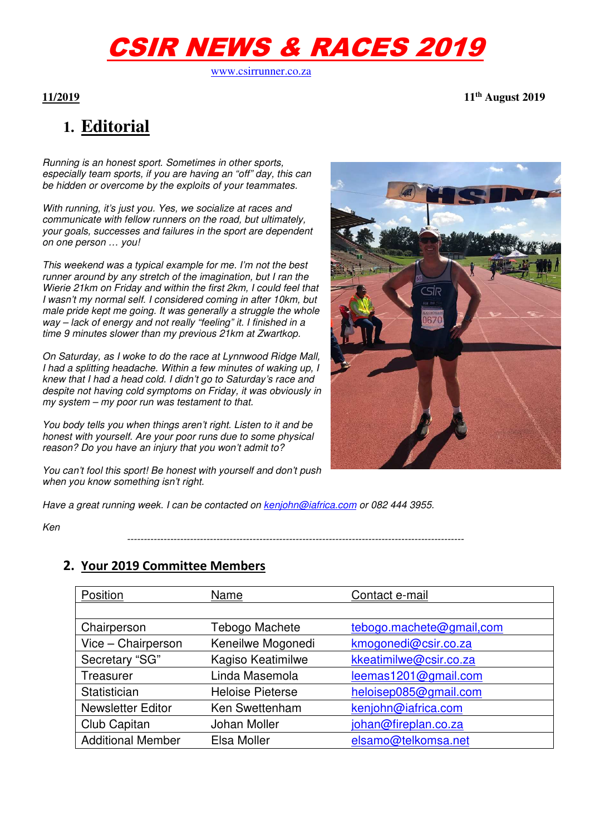# CSIR NEWS & RACES 2019

www.csirrunner.co.za

**11/2019 11th August 2019** 

# **1. Editorial**

*Running is an honest sport. Sometimes in other sports, especially team sports, if you are having an "off" day, this can be hidden or overcome by the exploits of your teammates.* 

*With running, it's just you. Yes, we socialize at races and communicate with fellow runners on the road, but ultimately, your goals, successes and failures in the sport are dependent on one person … you!* 

*This weekend was a typical example for me. I'm not the best runner around by any stretch of the imagination, but I ran the Wierie 21km on Friday and within the first 2km, I could feel that I wasn't my normal self. I considered coming in after 10km, but male pride kept me going. It was generally a struggle the whole way – lack of energy and not really "feeling" it. I finished in a time 9 minutes slower than my previous 21km at Zwartkop.* 

*On Saturday, as I woke to do the race at Lynnwood Ridge Mall, I had a splitting headache. Within a few minutes of waking up, I knew that I had a head cold. I didn't go to Saturday's race and despite not having cold symptoms on Friday, it was obviously in my system – my poor run was testament to that.* 

*You body tells you when things aren't right. Listen to it and be honest with yourself. Are your poor runs due to some physical reason? Do you have an injury that you won't admit to?* 

*You can't fool this sport! Be honest with yourself and don't push when you know something isn't right.* 

*Have a great running week. I can be contacted on kenjohn@iafrica.com or 082 444 3955.* 

*Ken* 

*------------------------------------------------------------------------------------------------------*

# **2. Your 2019 Committee Members**

| Position                 | Name                    | Contact e-mail           |
|--------------------------|-------------------------|--------------------------|
|                          |                         |                          |
| Chairperson              | Tebogo Machete          | tebogo.machete@gmail,com |
| Vice - Chairperson       | Keneilwe Mogonedi       | kmogonedi@csir.co.za     |
| Secretary "SG"           | Kagiso Keatimilwe       | kkeatimilwe@csir.co.za   |
| Treasurer                | Linda Masemola          | leemas1201@gmail.com     |
| Statistician             | <b>Heloise Pieterse</b> | heloisep085@gmail.com    |
| <b>Newsletter Editor</b> | Ken Swettenham          | kenjohn@iafrica.com      |
| Club Capitan             | Johan Moller            | johan@fireplan.co.za     |
| <b>Additional Member</b> | Elsa Moller             | elsamo@telkomsa.net      |

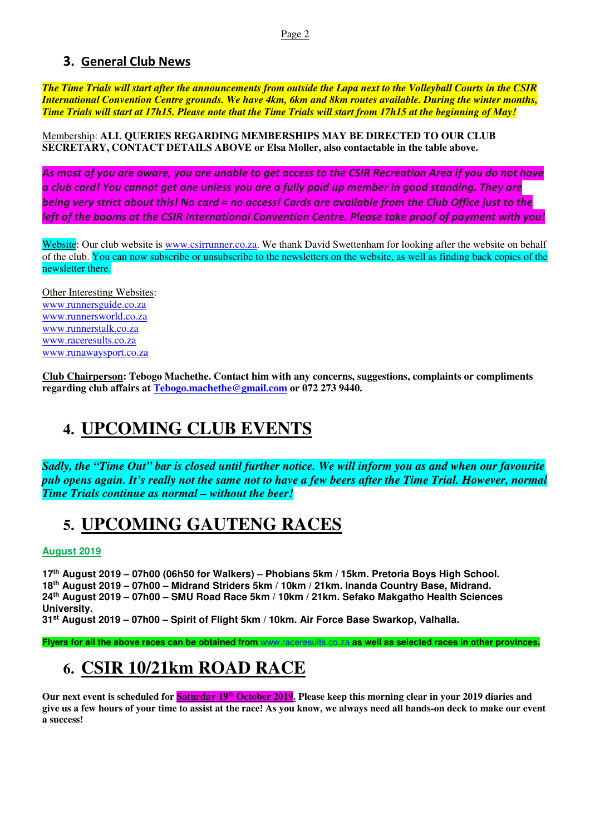# **3. General Club News**

*The Time Trials will start after the announcements from outside the Lapa next to the Volleyball Courts in the CSIR International Convention Centre grounds. We have 4km, 6km and 8km routes available. During the winter months, Time Trials will start at 17h15. Please note that the Time Trials will start from 17h15 at the beginning of May!*

Membership: **ALL QUERIES REGARDING MEMBERSHIPS MAY BE DIRECTED TO OUR CLUB SECRETARY, CONTACT DETAILS ABOVE or Elsa Moller, also contactable in the table above.** 

*As most of you are aware, you are unable to get access to the CSIR Recreation Area if you do not have a club card! You cannot get one unless you are a fully paid up member in good standing. They are being very strict about this! No card = no access! Cards are available from the Club Office just to the left of the booms at the CSIR International Convention Centre. Please take proof of payment with you!* 

Website: Our club website is www.csirrunner.co.za. We thank David Swettenham for looking after the website on behalf of the club. You can now subscribe or unsubscribe to the newsletters on the website, as well as finding back copies of the newsletter there.

Other Interesting Websites: www.runnersguide.co.za www.runnersworld.co.za www.runnerstalk.co.za www.raceresults.co.za www.runawaysport.co.za

**Club Chairperson: Tebogo Machethe. Contact him with any concerns, suggestions, complaints or compliments regarding club affairs at Tebogo.machethe@gmail.com or 072 273 9440.** 

# **4. UPCOMING CLUB EVENTS**

*Sadly, the "Time Out" bar is closed until further notice. We will inform you as and when our favourite pub opens again. It's really not the same not to have a few beers after the Time Trial. However, normal Time Trials continue as normal – without the beer!* 

# **5. UPCOMING GAUTENG RACES**

### **August 2019**

**th August 2019 – 07h00 (06h50 for Walkers) – Phobians 5km / 15km. Pretoria Boys High School. th August 2019 – 07h00 – Midrand Striders 5km / 10km / 21km. Inanda Country Base, Midrand. th August 2019 – 07h00 – SMU Road Race 5km / 10km / 21km. Sefako Makgatho Health Sciences University.** 

**31st August 2019 – 07h00 – Spirit of Flight 5km / 10km. Air Force Base Swarkop, Valhalla.** 

**Flyers for all the above races can be obtained from** www.raceresults.co.za **as well as selected races in other provinces.** 

# **6. CSIR 10/21km ROAD RACE**

Our next event is scheduled for **Saturday 19<sup>th</sup> October 2019**. Please keep this morning clear in your 2019 diaries and **give us a few hours of your time to assist at the race! As you know, we always need all hands-on deck to make our event a success!**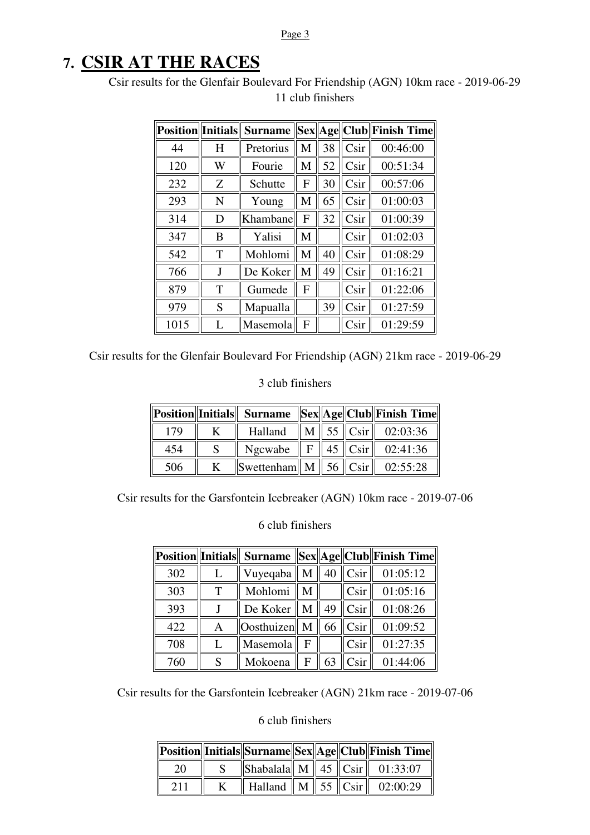#### Page 3

# **7. CSIR AT THE RACES**

Csir results for the Glenfair Boulevard For Friendship (AGN) 10km race - 2019-06-29 11 club finishers

| Position  Initials |   | <b>Surname</b> |   |    |      | Sex  Age  Club  Finish Time |
|--------------------|---|----------------|---|----|------|-----------------------------|
| 44                 | H | Pretorius      | M | 38 | Csir | 00:46:00                    |
| 120                | W | Fourie         | M | 52 | Csir | 00:51:34                    |
| 232                | Z | Schutte        | F | 30 | Csir | 00:57:06                    |
| 293                | N | Young          | M | 65 | Csir | 01:00:03                    |
| 314                | D | Khambane       | F | 32 | Csir | 01:00:39                    |
| 347                | B | Yalisi         | M |    | Csir | 01:02:03                    |
| 542                | T | Mohlomi        | M | 40 | Csir | 01:08:29                    |
| 766                | J | De Koker       | M | 49 | Csir | 01:16:21                    |
| 879                | T | Gumede         | F |    | Csir | 01:22:06                    |
| 979                | S | Mapualla       |   | 39 | Csir | 01:27:59                    |
| 1015               |   | Masemola       | F |    | Csir | 01:29:59                    |

Csir results for the Glenfair Boulevard For Friendship (AGN) 21km race - 2019-06-29

### 3 club finishers

|     |                                       |  | Position  Initials   Surname   Sex  Age  Club  Finish Time |
|-----|---------------------------------------|--|------------------------------------------------------------|
| 179 | Halland                               |  | $\ M\ $ 55 $\ C\sin\ $ 02:03:36                            |
| 454 |                                       |  | Ngcwabe    F    45    Csir    02:41:36                     |
| 506 | Swettenham   M   56   Csir   02:55:28 |  |                                                            |

Csir results for the Garsfontein Icebreaker (AGN) 10km race - 2019-07-06

### 6 club finishers

|     |   |                   |   |    |                   | Position  Initials   Surname   Sex  Age  Club  Finish Time |
|-----|---|-------------------|---|----|-------------------|------------------------------------------------------------|
| 302 |   | Vuyeqaba          | M |    | 40 $\ $ Csir $\ $ | 01:05:12                                                   |
| 303 | Т | Mohlomi           | M |    | C <sub>sin</sub>  | 01:05:16                                                   |
| 393 |   | De Koker          | M | 49 | Csir              | 01:08:26                                                   |
| 422 | A | <b>Oosthuizen</b> | M | 66 | Csir              | 01:09:52                                                   |
| 708 |   | Masemola          | F |    | Csir              | 01:27:35                                                   |
| 760 |   | Mokoena           | F | 63 | C <sub>Si</sub> r | 01:44:06                                                   |

Csir results for the Garsfontein Icebreaker (AGN) 21km race - 2019-07-06

|  |  |  | Position  Initials  Surname  Sex  Age  Club  Finish Time |
|--|--|--|----------------------------------------------------------|
|  |  |  | Shabalala    M    45    Csir    01:33:07                 |
|  |  |  | Halland    M    55    Csir    02:00:29                   |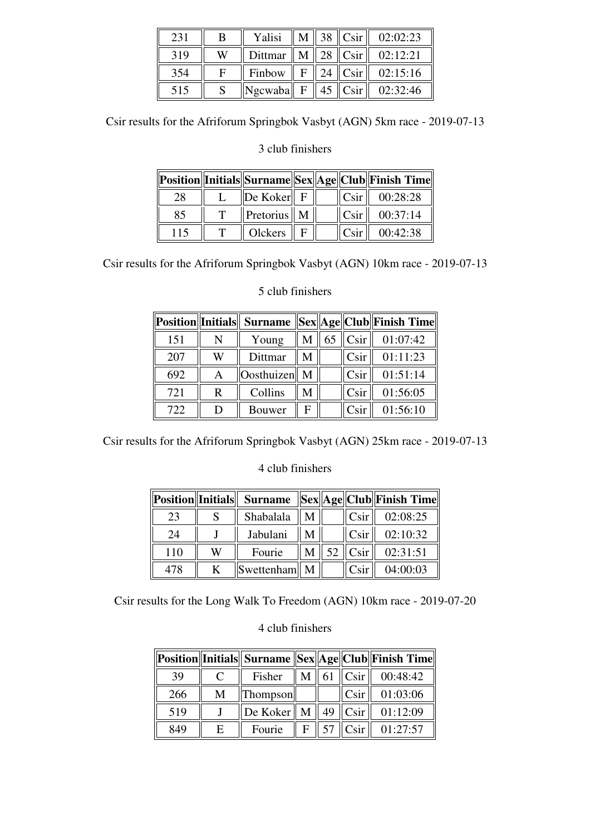| 231 |   | Yalisi                         | $\mathbf{M}$ |                           | 38 $\ $ Csir $\ $ 02:02:23             |
|-----|---|--------------------------------|--------------|---------------------------|----------------------------------------|
| 319 | W |                                |              |                           | Dittmar    M    28    Csir    02:12:21 |
| 354 | Е | Finbow                         |              | $\  F \  24 \  C \sin \ $ | 02:15:16                               |
| 515 |   | $\ Ngcwaba\  F \  45 \ Csir\ $ |              |                           | 02:32:46                               |

Csir results for the Afriforum Springbok Vasbyt (AGN) 5km race - 2019-07-13

# 3 club finishers

|     |                         |  |                  | Position  Initials  Surname  Sex  Age  Club  Finish Time |
|-----|-------------------------|--|------------------|----------------------------------------------------------|
| 28  | $\ $ De Koker $\ $ F    |  | $\mathsf{ICsir}$ | 00:28:28                                                 |
| 85  | Pretorius $\parallel$ M |  | Csir             | 00:37:14                                                 |
| 115 | Olckers                 |  | C <sub>Si</sub>  | 00:42:38                                                 |

Csir results for the Afriforum Springbok Vasbyt (AGN) 10km race - 2019-07-13

|     |   |                   |   |    |                  | Position  Initials   Surname   Sex  Age  Club  Finish Time |
|-----|---|-------------------|---|----|------------------|------------------------------------------------------------|
| 151 | N | Young             | M | 65 | $\ $ Csir $\ $   | 01:07:42                                                   |
| 207 | W | Dittmar           | М |    | C <sub>sin</sub> | 01:11:23                                                   |
| 692 | A | <b>Oosthuizen</b> | M |    | C <sub>Si</sub>  | 01:51:14                                                   |
| 721 | R | Collins           | М |    | Csir             | 01:56:05                                                   |
| 722 | D | Bouwer            | F |    | C <sub>Si</sub>  | 01:56:10                                                   |

# 5 club finishers

Csir results for the Afriforum Springbok Vasbyt (AGN) 25km race - 2019-07-13

# 4 club finishers

| <b>Position</b> Initials |   |              |  |                                             | Surname   Sex  Age  Club  Finish Time |
|--------------------------|---|--------------|--|---------------------------------------------|---------------------------------------|
| 23                       |   | Shabalala    |  | Csir <sup>1</sup>                           | 02:08:25                              |
| 24                       |   | Jabulani     |  | C <sub>Si</sub> r                           | 02:10:32                              |
| 110                      | W | Fourie       |  | $\parallel$ 52 $\parallel$ Csir $\parallel$ | 02:31:51                              |
| 478                      |   | Swettenham M |  | C <sub>Si</sub> r                           | 04:00:03                              |

Csir results for the Long Walk To Freedom (AGN) 10km race - 2019-07-20

|     |   |                                  |   |                          | Position  Initials   Surname   Sex  Age  Club  Finish Time |
|-----|---|----------------------------------|---|--------------------------|------------------------------------------------------------|
| 39  | C | Fisher                           |   | $\text{M}$ 61   Csir     | 00:48:42                                                   |
| 266 | M | Thompson                         |   | C <sub>sin</sub>         | 01:03:06                                                   |
| 519 |   | De Koker $\parallel M \parallel$ |   | 49 $\ $ Csir $\ $        | 01:12:09                                                   |
| 849 | E | Fourie                           | F | $57$ $C$ sir $\parallel$ | 01:27:57                                                   |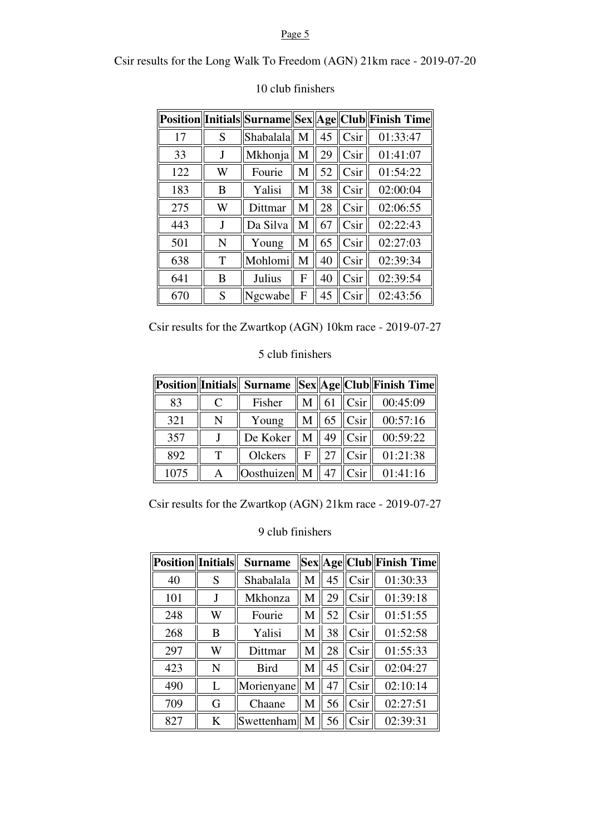### Page 5

Csir results for the Long Walk To Freedom (AGN) 21km race - 2019-07-20

|     |   |           |   |    |      | Position  Initials  Surname  Sex  Age  Club  Finish Time |
|-----|---|-----------|---|----|------|----------------------------------------------------------|
| 17  | S | Shabalala | M | 45 | Csir | 01:33:47                                                 |
| 33  | J | Mkhonja   | M | 29 | Csir | 01:41:07                                                 |
| 122 | W | Fourie    | M | 52 | Csir | 01:54:22                                                 |
| 183 | B | Yalisi    | M | 38 | Csir | 02:00:04                                                 |
| 275 | W | Dittmar   | M | 28 | Csir | 02:06:55                                                 |
| 443 | J | Da Silva  | M | 67 | Csir | 02:22:43                                                 |
| 501 | N | Young     | M | 65 | Csir | 02:27:03                                                 |
| 638 | T | Mohlomi   | M | 40 | Csir | 02:39:34                                                 |
| 641 | B | Julius    | F | 40 | Csir | 02:39:54                                                 |
| 670 | S | Ngcwabe   | F | 45 | Csir | 02:43:56                                                 |

# 10 club finishers

Csir results for the Zwartkop (AGN) 10km race - 2019-07-27

# 5 club finishers

|      |             |                                                   |   |    |                   | Position  Initials   Surname   Sex  Age  Club  Finish Time |
|------|-------------|---------------------------------------------------|---|----|-------------------|------------------------------------------------------------|
| 83   | $\mathbf C$ | Fisher                                            | M |    | 61 $\ $ Csir $\ $ | 00:45:09                                                   |
| 321  | N           | Young                                             | M |    | $65$ Csir         | 00:57:16                                                   |
| 357  |             | De Koker                                          | M | 49 | Csir <sup>p</sup> | 00:59:22                                                   |
| 892  |             | Olckers                                           | F | 27 | $C$ sir $ $       | 01:21:38                                                   |
| 1075 |             | $\vert$ Oosthuizen $\vert\vert$ M $\vert\vert$ 47 |   |    | $ \text{Csir} $   | 01:41:16                                                   |

Csir results for the Zwartkop (AGN) 21km race - 2019-07-27

| <b>Position</b> Initials |   | <b>Surname</b> |   |    |      | Sex  Age  Club  Finish Time |
|--------------------------|---|----------------|---|----|------|-----------------------------|
| 40                       | S | Shabalala      | M | 45 | Csir | 01:30:33                    |
| 101                      |   | Mkhonza        | M | 29 | Csir | 01:39:18                    |
| 248                      | W | Fourie         | М | 52 | Csir | 01:51:55                    |
| 268                      | B | Yalisi         | M | 38 | Csir | 01:52:58                    |
| 297                      | W | Dittmar        | M | 28 | Csir | 01:55:33                    |
| 423                      | N | <b>Bird</b>    | M | 45 | Csir | 02:04:27                    |
| 490                      | L | Morienyane     | M | 47 | Csir | 02:10:14                    |
| 709                      | G | Chaane         | M | 56 | Csir | 02:27:51                    |
| 827                      | K | Swettenham     | M | 56 | Csir | 02:39:31                    |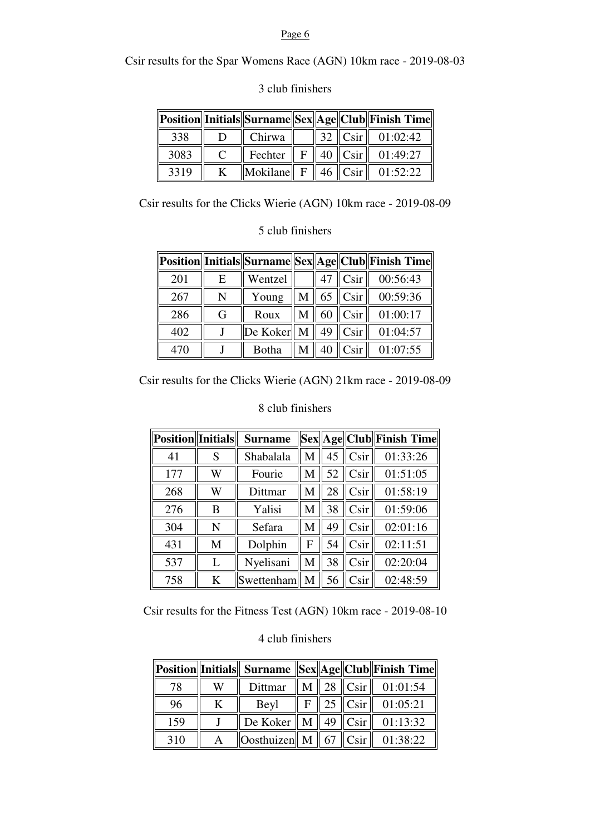#### Page 6

Csir results for the Spar Womens Race (AGN) 10km race - 2019-08-03

|      |               |                                                            |  | Position  Initials  Surname  Sex  Age  Club  Finish Time |
|------|---------------|------------------------------------------------------------|--|----------------------------------------------------------|
| 338  |               | Chirwa                                                     |  | $\parallel$ 32 $\parallel$ Csir $\parallel$ 01:02:42     |
| 3083 | $\mathcal{C}$ |                                                            |  | Fechter    F    40 $\ $ Csir    01:49:27                 |
| 3319 |               | $\Vert$ Mokilane $\Vert$ F $\Vert$ 46 $\Vert$ Csir $\Vert$ |  | 01:52:22                                                 |

# 3 club finishers

Csir results for the Clicks Wierie (AGN) 10km race - 2019-08-09

# 5 club finishers

|     |   |              |               |    |                 | Position  Initials  Surname  Sex  Age  Club  Finish Time |
|-----|---|--------------|---------------|----|-----------------|----------------------------------------------------------|
| 201 | E | Wentzel      |               | 47 | C <sub>Si</sub> | 00:56:43                                                 |
| 267 | N | Young        | $M \parallel$ |    | $65$ Csir       | 00:59:36                                                 |
| 286 | G | Roux         | M             | 60 | C <sub>Si</sub> | 01:00:17                                                 |
| 402 |   | De Koker   M |               | 49 | C <sub>Si</sub> | 01:04:57                                                 |
| 47( |   | Botha        |               |    | Csir            | 01:07:55                                                 |

Csir results for the Clicks Wierie (AGN) 21km race - 2019-08-09

# 8 club finishers

| Position Initials |   | <b>Surname</b> |              |    |                 | Sex  Age  Club  Finish Time |
|-------------------|---|----------------|--------------|----|-----------------|-----------------------------|
| 41                | S | Shabalala      | М            | 45 | C <sub>Si</sub> | 01:33:26                    |
| 177               | W | Fourie         | M            | 52 | Csir            | 01:51:05                    |
| 268               | W | Dittmar        | M            | 28 | Csir            | 01:58:19                    |
| 276               | B | Yalisi         | M            | 38 | Csir            | 01:59:06                    |
| 304               | N | Sefara         | M            | 49 | Csir            | 02:01:16                    |
| 431               | M | Dolphin        | F            | 54 | Csir            | 02:11:51                    |
| 537               | L | Nyelisani      | M            | 38 | Csir            | 02:20:04                    |
| 758               | K | Swettenham     | $\mathbf{M}$ | 56 | Csir            | 02:48:59                    |

Csir results for the Fitness Test (AGN) 10km race - 2019-08-10

|     |   |                                                                                                         |  | Position  Initials   Surname   Sex  Age  Club  Finish Time            |
|-----|---|---------------------------------------------------------------------------------------------------------|--|-----------------------------------------------------------------------|
| 78  | W | Dittmar                                                                                                 |  | $\mathbf{M} \parallel 28 \parallel \mathbf{C}\sin \parallel 01:01:54$ |
| 96  | K | Beyl                                                                                                    |  | $\text{F}$   25   Csir   01:05:21                                     |
| 159 |   |                                                                                                         |  | De Koker    M    49 $\ $ Csir    01:13:32                             |
| 310 |   | $\left\  \right $ Oosthuizen $\left\  M \right\ $ 67 $\left\  \right $ Csir $\left\  01:38:22 \right\ $ |  |                                                                       |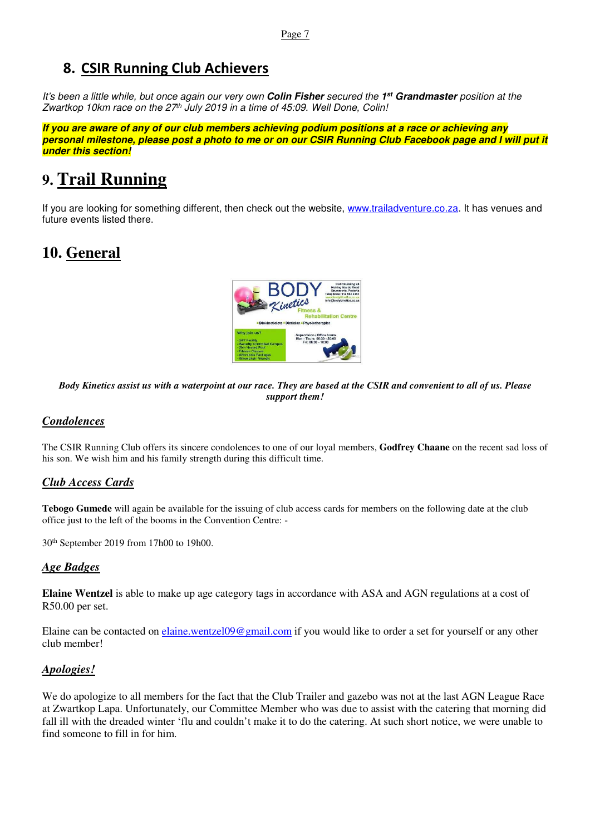# **8. CSIR Running Club Achievers**

*It's been a little while, but once again our very own* **Colin Fisher** *secured the* **1 st Grandmaster** *position at the Zwartkop 10km race on the 27th July 2019 in a time of 45:09. Well Done, Colin!* 

**If you are aware of any of our club members achieving podium positions at a race or achieving any personal milestone, please post a photo to me or on our CSIR Running Club Facebook page and I will put it under this section!**

# **9. Trail Running**

If you are looking for something different, then check out the website, www.trailadventure.co.za. It has venues and future events listed there.

# **10. General**



*Body Kinetics assist us with a waterpoint at our race. They are based at the CSIR and convenient to all of us. Please support them!* 

# *Condolences*

The CSIR Running Club offers its sincere condolences to one of our loyal members, **Godfrey Chaane** on the recent sad loss of his son. We wish him and his family strength during this difficult time.

### *Club Access Cards*

**Tebogo Gumede** will again be available for the issuing of club access cards for members on the following date at the club office just to the left of the booms in the Convention Centre: -

30th September 2019 from 17h00 to 19h00.

### *Age Badges*

**Elaine Wentzel** is able to make up age category tags in accordance with ASA and AGN regulations at a cost of R50.00 per set.

Elaine can be contacted on elaine.wentzel09@gmail.com if you would like to order a set for yourself or any other club member!

### *Apologies!*

We do apologize to all members for the fact that the Club Trailer and gazebo was not at the last AGN League Race at Zwartkop Lapa. Unfortunately, our Committee Member who was due to assist with the catering that morning did fall ill with the dreaded winter 'flu and couldn't make it to do the catering. At such short notice, we were unable to find someone to fill in for him.